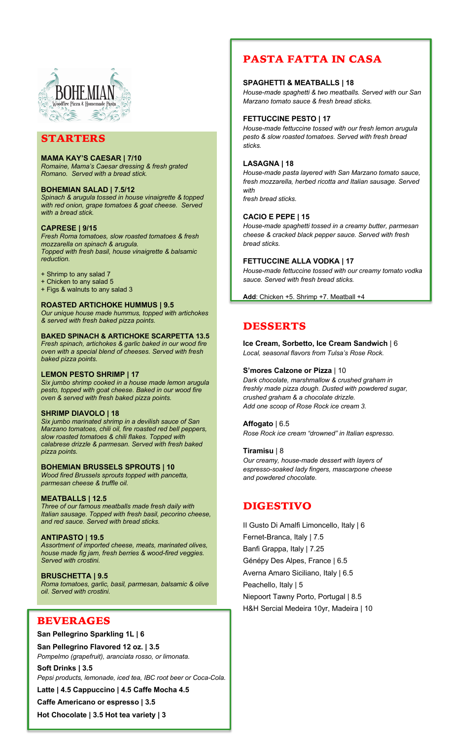

# STARTERS

# **MAMA KAY'S CAESAR | 7/10**

*Romaine, Mama's Caesar dressing & fresh grated Romano. Served with a bread stick.*

#### **BOHEMIAN SALAD | 7.5/12**

*Spinach & arugula tossed in house vinaigrette & topped with red onion, grape tomatoes & goat cheese. Served with a bread stick.*

#### **CAPRESE | 9/15**

*Fresh Roma tomatoes, slow roasted tomatoes & fresh mozzarella on spinach & arugula. Topped with fresh basil, house vinaigrette & balsamic reduction.* 

+ Shrimp to any salad 7

- + Chicken to any salad 5
- + Figs & walnuts to any salad 3

# **ROASTED ARTICHOKE HUMMUS | 9.5**

*Our unique house made hummus, topped with artichokes & served with fresh baked pizza points.* 

### **BAKED SPINACH & ARTICHOKE SCARPETTA 13.5**

*Fresh spinach, artichokes & garlic baked in our wood fire oven with a special blend of cheeses. Served with fresh baked pizza points.* 

#### **LEMON PESTO SHRIMP | 17**

*Six jumbo shrimp cooked in a house made lemon arugula pesto, topped with goat cheese. Baked in our wood fire oven & served with fresh baked pizza points.* 

#### **SHRIMP DIAVOLO | 18**

*Six jumbo marinated shrimp in a devilish sauce of San Marzano tomatoes, chili oil, fire roasted red bell peppers, slow roasted tomatoes & chili flakes. Topped with calabrese drizzle & parmesan. Served with fresh baked pizza points.* 

#### **BOHEMIAN BRUSSELS SPROUTS | 10**

*Wood fired Brussels sprouts topped with pancetta, parmesan cheese & truffle oil.* 

# **MEATBALLS | 12.5**

*Three of our famous meatballs made fresh daily with Italian sausage. Topped with fresh basil, pecorino cheese, and red sauce. Served with bread sticks.* 

#### **ANTIPASTO | 19.5**

*Assortment of imported cheese, meats, marinated olives, house made fig jam, fresh berries & wood-fired veggies. Served with crostini.*

#### **BRUSCHETTA | 9.5**

*Roma tomatoes, garlic, basil, parmesan, balsamic & olive oil. Served with crostini.* 

# BEVERAGES

#### **San Pellegrino Sparkling 1L | 6**

**San Pellegrino Flavored 12 oz. | 3.5** *Pompelmo (grapefruit), aranciata rosso, or limonata.* 

**Soft Drinks | 3.5** *Pepsi products, lemonade, iced tea, IBC root beer or Coca-Cola.*

**Latte | 4.5 Cappuccino | 4.5 Caffe Mocha 4.5**

**Caffe Americano or espresso | 3.5 Hot Chocolate | 3.5 Hot tea variety | 3**

# PASTA FATTA IN CASA

#### **SPAGHETTI & MEATBALLS | 18**

*House-made spaghetti & two meatballs. Served with our San Marzano tomato sauce & fresh bread sticks.*

## **FETTUCCINE PESTO | 17**

*House-made fettuccine tossed with our fresh lemon arugula pesto & slow roasted tomatoes. Served with fresh bread sticks.* 

# **LASAGNA | 18**

*House-made pasta layered with San Marzano tomato sauce, fresh mozzarella, herbed ricotta and Italian sausage. Served with* 

*fresh bread sticks.* 

#### **CACIO E PEPE | 15**

*House-made spaghetti tossed in a creamy butter, parmesan cheese & cracked black pepper sauce. Served with fresh bread sticks.* 

#### **FETTUCCINE ALLA VODKA | 17**

*House-made fettuccine tossed with our creamy tomato vodka sauce. Served with fresh bread sticks.* 

**Add**: Chicken +5. Shrimp +7. Meatball +4

# DESSERTS

**Ice Cream, Sorbetto, Ice Cream Sandwich** | 6 *Local, seasonal flavors from Tulsa's Rose Rock.* 

#### **S'mores Calzone or Pizza** | 10

*Dark chocolate, marshmallow & crushed graham in freshly made pizza dough. Dusted with powdered sugar, crushed graham & a chocolate drizzle. Add one scoop of Rose Rock ice cream 3.*

#### **Affogato** | 6.5

*Rose Rock ice cream "drowned" in Italian espresso.*

#### **Tiramisu** | 8

*Our creamy, house-made dessert with layers of espresso-soaked lady fingers, mascarpone cheese and powdered chocolate.* 

# DIGESTIVO

II Gusto Di Amalfi Limoncello, Italy | 6 Fernet-Branca, Italy | 7.5 Banfi Grappa, Italy | 7.25 Génépy Des Alpes, France | 6.5 Averna Amaro Siciliano, Italy | 6.5 Peachello, Italy | 5 Niepoort Tawny Porto, Portugal | 8.5 H&H Sercial Medeira 10yr, Madeira | 10